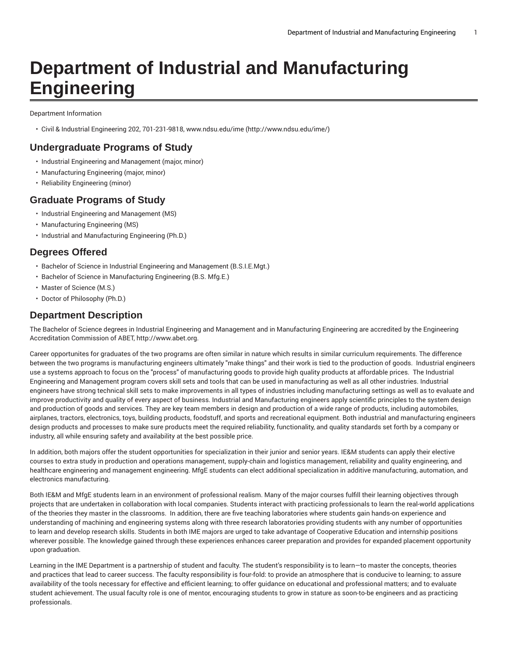# **Department of Industrial and Manufacturing Engineering**

Department Information

• Civil & Industrial Engineering 202, 701-231-9818, [www.ndsu.edu/ime](http://www.ndsu.edu/ime/) ([http://www.ndsu.edu/ime/\)](http://www.ndsu.edu/ime/)

#### **Undergraduate Programs of Study**

- Industrial Engineering and Management (major, minor)
- Manufacturing Engineering (major, minor)
- Reliability Engineering (minor)

### **Graduate Programs of Study**

- Industrial Engineering and Management (MS)
- Manufacturing Engineering (MS)
- Industrial and Manufacturing Engineering (Ph.D.)

## **Degrees Offered**

- Bachelor of Science in Industrial Engineering and Management (B.S.I.E.Mgt.)
- Bachelor of Science in Manufacturing Engineering (B.S. Mfg.E.)
- Master of Science (M.S.)
- Doctor of Philosophy (Ph.D.)

#### **Department Description**

The Bachelor of Science degrees in Industrial Engineering and Management and in Manufacturing Engineering are accredited by the Engineering Accreditation Commission of ABET, [http://www.abet.org.](http://www.abet.org)

Career opportunites for graduates of the two programs are often similar in nature which results in similar curriculum requirements. The difference between the two programs is manufacturing engineers ultimately "make things" and their work is tied to the production of goods. Industrial engineers use a systems approach to focus on the "process" of manufacturing goods to provide high quality products at affordable prices. The Industrial Engineering and Management program covers skill sets and tools that can be used in manufacturing as well as all other industries. Industrial engineers have strong technical skill sets to make improvements in all types of industries including manufacturing settings as well as to evaluate and improve productivity and quality of every aspect of business. Industrial and Manufacturing engineers apply scientific principles to the system design and production of goods and services. They are key team members in design and production of a wide range of products, including automobiles, airplanes, tractors, electronics, toys, building products, foodstuff, and sports and recreational equipment. Both industrial and manufacturing engineers design products and processes to make sure products meet the required reliability, functionality, and quality standards set forth by a company or industry, all while ensuring safety and availability at the best possible price.

In addition, both majors offer the student opportunities for specialization in their junior and senior years. IE&M students can apply their elective courses to extra study in production and operations management, supply-chain and logistics management, reliability and quality engineering, and healthcare engineering and management engineering. MfgE students can elect additional specialization in additive manufacturing, automation, and electronics manufacturing.

Both IE&M and MfgE students learn in an environment of professional realism. Many of the major courses fulfill their learning objectives through projects that are undertaken in collaboration with local companies. Students interact with practicing professionals to learn the real-world applications of the theories they master in the classrooms. In addition, there are five teaching laboratories where students gain hands-on experience and understanding of machining and engineering systems along with three research laboratories providing students with any number of opportunities to learn and develop research skills. Students in both IME majors are urged to take advantage of Cooperative Education and internship positions wherever possible. The knowledge gained through these experiences enhances career preparation and provides for expanded placement opportunity upon graduation.

Learning in the IME Department is a partnership of student and faculty. The student's responsibility is to learn—to master the concepts, theories and practices that lead to career success. The faculty responsibility is four-fold: to provide an atmosphere that is conducive to learning; to assure availability of the tools necessary for effective and efficient learning; to offer guidance on educational and professional matters; and to evaluate student achievement. The usual faculty role is one of mentor, encouraging students to grow in stature as soon-to-be engineers and as practicing professionals.